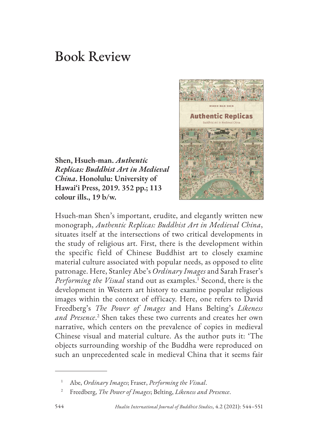## Book Review

**Shen, Hsueh-man.** *Authentic Replicas: Buddhist Art in Medieval China***. Honolulu: University of Hawai'i Press, 2019. 352 pp.; 113 colour ills., 19 b/w.**



Hsueh-man Shen's important, erudite, and elegantly written new monograph, *Authentic Replicas: Buddhist Art in Medieval China*, situates itself at the intersections of two critical developments in the study of religious art. First, there is the development within the specific field of Chinese Buddhist art to closely examine material culture associated with popular needs, as opposed to elite patronage. Here, Stanley Abe's *Ordinary Images* and Sarah Fraser's Performing the Visual stand out as examples.<sup>1</sup> Second, there is the development in Western art history to examine popular religious images within the context of efficacy. Here, one refers to David Freedberg's *The Power of Images* and Hans Belting's *Likeness and Presence*. 2 Shen takes these two currents and creates her own narrative, which centers on the prevalence of copies in medieval Chinese visual and material culture. As the author puts it: 'The objects surrounding worship of the Buddha were reproduced on such an unprecedented scale in medieval China that it seems fair

<sup>1</sup> Abe, *Ordinary Images*; Fraser, *Performing the Visual*.

<sup>2</sup> Freedberg, *The Power of Images*; Belting, *Likeness and Presence*.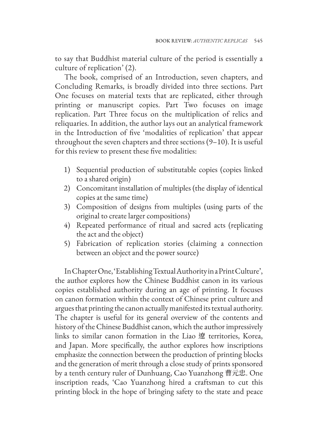to say that Buddhist material culture of the period is essentially a culture of replication' (2).

The book, comprised of an Introduction, seven chapters, and Concluding Remarks, is broadly divided into three sections. Part One focuses on material texts that are replicated, either through printing or manuscript copies. Part Two focuses on image replication. Part Three focus on the multiplication of relics and reliquaries. In addition, the author lays out an analytical framework in the Introduction of five 'modalities of replication' that appear throughout the seven chapters and three sections (9–10). It is useful for this review to present these five modalities:

- 1) Sequential production of substitutable copies (copies linked to a shared origin)
- 2) Concomitant installation of multiples (the display of identical copies at the same time)
- 3) Composition of designs from multiples (using parts of the original to create larger compositions)
- 4) Repeated performance of ritual and sacred acts (replicating the act and the object)
- 5) Fabrication of replication stories (claiming a connection between an object and the power source)

In Chapter One, 'Establishing Textual Authority in a Print Culture', the author explores how the Chinese Buddhist canon in its various copies established authority during an age of printing. It focuses on canon formation within the context of Chinese print culture and argues that printing the canon actually manifested its textual authority. The chapter is useful for its general overview of the contents and history of the Chinese Buddhist canon, which the author impressively links to similar canon formation in the Liao 遼 territories, Korea, and Japan. More specifically, the author explores how inscriptions emphasize the connection between the production of printing blocks and the generation of merit through a close study of prints sponsored by a tenth century ruler of Dunhuang, Cao Yuanzhong 曹元忠. One inscription reads, 'Cao Yuanzhong hired a craftsman to cut this printing block in the hope of bringing safety to the state and peace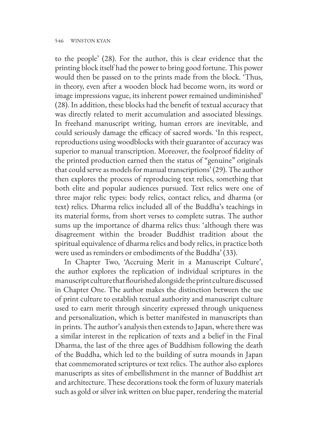to the people' (28). For the author, this is clear evidence that the printing block itself had the power to bring good fortune. This power would then be passed on to the prints made from the block. 'Thus, in theory, even after a wooden block had become worn, its word or image impressions vague, its inherent power remained undiminished' (28). In addition, these blocks had the benefit of textual accuracy that was directly related to merit accumulation and associated blessings. In freehand manuscript writing, human errors are inevitable, and could seriously damage the efficacy of sacred words. 'In this respect, reproductions using woodblocks with their guarantee of accuracy was superior to manual transcription. Moreover, the foolproof fidelity of the printed production earned then the status of "genuine" originals that could serve as models for manual transcriptions' (29). The author then explores the process of reproducing text relics, something that both elite and popular audiences pursued. Text relics were one of three major relic types: body relics, contact relics, and dharma (or text) relics. Dharma relics included all of the Buddha's teachings in its material forms, from short verses to complete sutras. The author sums up the importance of dharma relics thus: 'although there was disagreement within the broader Buddhist tradition about the spiritual equivalence of dharma relics and body relics, in practice both were used as reminders or embodiments of the Buddha' (33).

In Chapter Two, 'Accruing Merit in a Manuscript Culture', the author explores the replication of individual scriptures in the manuscript culture that flourished alongside the print culture discussed in Chapter One. The author makes the distinction between the use of print culture to establish textual authority and manuscript culture used to earn merit through sincerity expressed through uniqueness and personalization, which is better manifested in manuscripts than in prints. The author's analysis then extends to Japan, where there was a similar interest in the replication of texts and a belief in the Final Dharma, the last of the three ages of Buddhism following the death of the Buddha, which led to the building of sutra mounds in Japan that commemorated scriptures or text relics. The author also explores manuscripts as sites of embellishment in the manner of Buddhist art and architecture. These decorations took the form of luxury materials such as gold or silver ink written on blue paper, rendering the material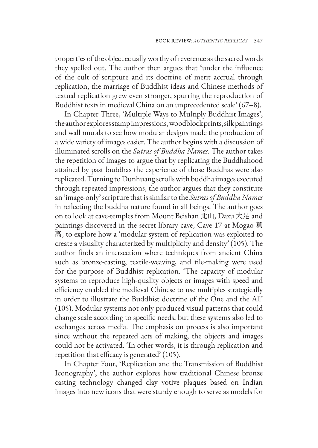properties of the object equally worthy of reverence as the sacred words they spelled out. The author then argues that 'under the influence of the cult of scripture and its doctrine of merit accrual through replication, the marriage of Buddhist ideas and Chinese methods of textual replication grew even stronger, spurring the reproduction of Buddhist texts in medieval China on an unprecedented scale' (67–8).

In Chapter Three, 'Multiple Ways to Multiply Buddhist Images', the author explores stamp impressions, woodblock prints, silk paintings and wall murals to see how modular designs made the production of a wide variety of images easier. The author begins with a discussion of illuminated scrolls on the *Sutras of Buddha Names*. The author takes the repetition of images to argue that by replicating the Buddhahood attained by past buddhas the experience of those Buddhas were also replicated. Turning to Dunhuang scrolls with buddha images executed through repeated impressions, the author argues that they constitute an 'image-only' scripture that is similar to the *Sutras of Buddha Names*  in reflecting the buddha nature found in all beings. The author goes on to look at cave-temples from Mount Beishan 北山, Dazu 大足 and paintings discovered in the secret library cave, Cave 17 at Mogao 莫 高, to explore how a 'modular system of replication was exploited to create a visuality characterized by multiplicity and density' (105). The author finds an intersection where techniques from ancient China such as bronze-casting, textile-weaving, and tile-making were used for the purpose of Buddhist replication. 'The capacity of modular systems to reproduce high-quality objects or images with speed and efficiency enabled the medieval Chinese to use multiples strategically in order to illustrate the Buddhist doctrine of the One and the All' (105). Modular systems not only produced visual patterns that could change scale according to specific needs, but these systems also led to exchanges across media. The emphasis on process is also important since without the repeated acts of making, the objects and images could not be activated. 'In other words, it is through replication and repetition that efficacy is generated' (105).

In Chapter Four, 'Replication and the Transmission of Buddhist Iconography', the author explores how traditional Chinese bronze casting technology changed clay votive plaques based on Indian images into new icons that were sturdy enough to serve as models for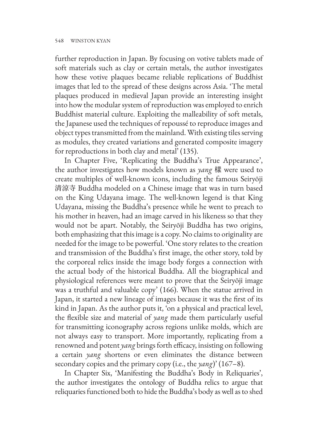further reproduction in Japan. By focusing on votive tablets made of soft materials such as clay or certain metals, the author investigates how these votive plaques became reliable replications of Buddhist images that led to the spread of these designs across Asia. 'The metal plaques produced in medieval Japan provide an interesting insight into how the modular system of reproduction was employed to enrich Buddhist material culture. Exploiting the malleability of soft metals, the Japanese used the techniques of repoussé to reproduce images and object types transmitted from the mainland. With existing tiles serving as modules, they created variations and generated composite imagery for reproductions in both clay and metal' (135).

In Chapter Five, 'Replicating the Buddha's True Appearance', the author investigates how models known as *yang* 樣 were used to create multiples of well-known icons, including the famous Seiryōji 清涼寺 Buddha modeled on a Chinese image that was in turn based on the King Udayana image. The well-known legend is that King Udayana, missing the Buddha's presence while he went to preach to his mother in heaven, had an image carved in his likeness so that they would not be apart. Notably, the Seiryōji Buddha has two origins, both emphasizing that this image is a copy. No claims to originality are needed for the image to be powerful. 'One story relates to the creation and transmission of the Buddha's first image, the other story, told by the corporeal relics inside the image body forges a connection with the actual body of the historical Buddha. All the biographical and physiological references were meant to prove that the Seiryōji image was a truthful and valuable copy' (166). When the statue arrived in Japan, it started a new lineage of images because it was the first of its kind in Japan. As the author puts it, 'on a physical and practical level, the flexible size and material of *yang* made them particularly useful for transmitting iconography across regions unlike molds, which are not always easy to transport. More importantly, replicating from a renowned and potent *yang* brings forth efficacy, insisting on following a certain *yang* shortens or even eliminates the distance between secondary copies and the primary copy (i.e., the *yang*)' (167–8).

In Chapter Six, 'Manifesting the Buddha's Body in Reliquaries', the author investigates the ontology of Buddha relics to argue that reliquaries functioned both to hide the Buddha's body as well as to shed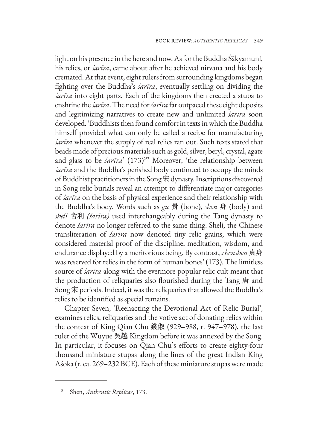light on his presence in the here and now. As for the Buddha Śākyamuni, his relics, or *śarīra*, came about after he achieved nirvana and his body cremated. At that event, eight rulers from surrounding kingdoms began fighting over the Buddha's *śarīra*, eventually settling on dividing the *śarīra* into eight parts. Each of the kingdoms then erected a stupa to enshrine the *śarīra*. The need for *śarīra* far outpaced these eight deposits and legitimizing narratives to create new and unlimited *śarīra* soon developed. 'Buddhists then found comfort in texts in which the Buddha himself provided what can only be called a recipe for manufacturing *śarīra* whenever the supply of real relics ran out. Such texts stated that beads made of precious materials such as gold, silver, beryl, crystal, agate and glass to be *śarīra*' (173)"3 Moreover, 'the relationship between *śarīra* and the Buddha's perished body continued to occupy the minds of Buddhist practitioners in the Song 宋 dynasty. Inscriptions discovered in Song relic burials reveal an attempt to differentiate major categories of *śarīra* on the basis of physical experience and their relationship with the Buddha's body. Words such as *gu* 骨 (bone), *shen* 身 (body) and *sheli* 舍利 *(śarīra)* used interchangeably during the Tang dynasty to denote *śarīra* no longer referred to the same thing. Sheli, the Chinese transliteration of *śarīra* now denoted tiny relic grains, which were considered material proof of the discipline, meditation, wisdom, and endurance displayed by a meritorious being. By contrast, *zhenshen* 真身 was reserved for relics in the form of human bones' (173). The limitless source of *śarīra* along with the evermore popular relic cult meant that the production of reliquaries also flourished during the Tang 唐 and Song 宋 periods. Indeed, it was the reliquaries that allowed the Buddha's relics to be identified as special remains.

Chapter Seven, 'Reenacting the Devotional Act of Relic Burial', examines relics, reliquaries and the votive act of donating relics within the context of King Qian Chu 錢俶 (929–988, r. 947–978), the last ruler of the Wuyue 吳越 Kingdom before it was annexed by the Song. In particular, it focuses on Qian Chu's efforts to create eighty-four thousand miniature stupas along the lines of the great Indian King Aśoka (r. ca. 269–232 BCE). Each of these miniature stupas were made

<sup>3</sup> Shen, *Authentic Replicas*, 173.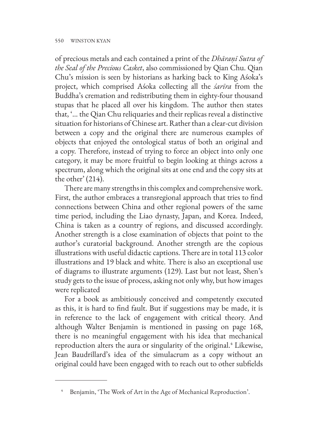of precious metals and each contained a print of the *Dhāraṇī Sutra of the Seal of the Precious Casket*, also commissioned by Qian Chu. Qian Chu's mission is seen by historians as harking back to King Aśoka's project, which comprised Aśoka collecting all the *śarīra* from the Buddha's cremation and redistributing them in eighty-four thousand stupas that he placed all over his kingdom. The author then states that, '… the Qian Chu reliquaries and their replicas reveal a distinctive situation for historians of Chinese art. Rather than a clear-cut division between a copy and the original there are numerous examples of objects that enjoyed the ontological status of both an original and a copy. Therefore, instead of trying to force an object into only one category, it may be more fruitful to begin looking at things across a spectrum, along which the original sits at one end and the copy sits at the other'  $(214)$ .

There are many strengths in this complex and comprehensive work. First, the author embraces a transregional approach that tries to find connections between China and other regional powers of the same time period, including the Liao dynasty, Japan, and Korea. Indeed, China is taken as a country of regions, and discussed accordingly. Another strength is a close examination of objects that point to the author's curatorial background. Another strength are the copious illustrations with useful didactic captions. There are in total 113 color illustrations and 19 black and white. There is also an exceptional use of diagrams to illustrate arguments (129). Last but not least, Shen's study gets to the issue of process, asking not only why, but how images were replicated

For a book as ambitiously conceived and competently executed as this, it is hard to find fault. But if suggestions may be made, it is in reference to the lack of engagement with critical theory. And although Walter Benjamin is mentioned in passing on page 168, there is no meaningful engagement with his idea that mechanical reproduction alters the aura or singularity of the original.<sup>4</sup> Likewise, Jean Baudrillard's idea of the simulacrum as a copy without an original could have been engaged with to reach out to other subfields

Benjamin, 'The Work of Art in the Age of Mechanical Reproduction'.